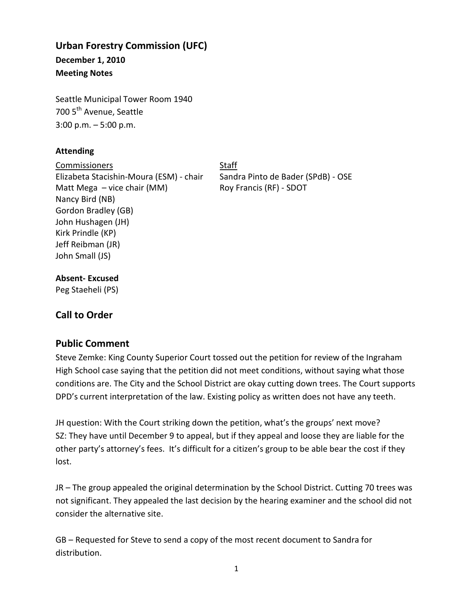# **Urban Forestry Commission (UFC)**

**December 1, 2010 Meeting Notes** 

Seattle Municipal Tower Room 1940 700 5<sup>th</sup> Avenue, Seattle

3:00 p.m. – 5:00 p.m.

## **Attending**

Commissioners Staff Elizabeta Stacishin-Moura (ESM) - chair Sandra Pinto de Bader (SPdB) - OSE Matt Mega – vice chair (MM) Roy Francis (RF) - SDOT Nancy Bird (NB) Gordon Bradley (GB) John Hushagen (JH) Kirk Prindle (KP) Jeff Reibman (JR) John Small (JS)

## **Absent- Excused**

Peg Staeheli (PS)

# **Call to Order**

## **Public Comment**

Steve Zemke: King County Superior Court tossed out the petition for review of the Ingraham High School case saying that the petition did not meet conditions, without saying what those conditions are. The City and the School District are okay cutting down trees. The Court supports DPD's current interpretation of the law. Existing policy as written does not have any teeth.

JH question: With the Court striking down the petition, what's the groups' next move? SZ: They have until December 9 to appeal, but if they appeal and loose they are liable for the other party's attorney's fees. It's difficult for a citizen's group to be able bear the cost if they lost.

JR – The group appealed the original determination by the School District. Cutting 70 trees was not significant. They appealed the last decision by the hearing examiner and the school did not consider the alternative site.

GB – Requested for Steve to send a copy of the most recent document to Sandra for distribution.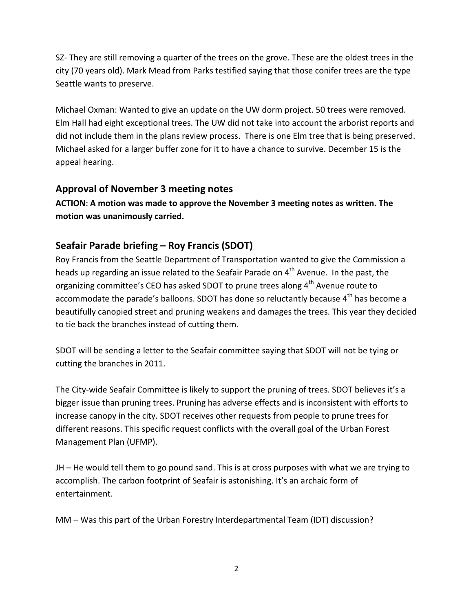SZ- They are still removing a quarter of the trees on the grove. These are the oldest trees in the city (70 years old). Mark Mead from Parks testified saying that those conifer trees are the type Seattle wants to preserve.

Michael Oxman: Wanted to give an update on the UW dorm project. 50 trees were removed. Elm Hall had eight exceptional trees. The UW did not take into account the arborist reports and did not include them in the plans review process. There is one Elm tree that is being preserved. Michael asked for a larger buffer zone for it to have a chance to survive. December 15 is the appeal hearing.

## **Approval of November 3 meeting notes**

**ACTION**: **A motion was made to approve the November 3 meeting notes as written. The motion was unanimously carried.**

## **Seafair Parade briefing – Roy Francis (SDOT)**

Roy Francis from the Seattle Department of Transportation wanted to give the Commission a heads up regarding an issue related to the Seafair Parade on  $4<sup>th</sup>$  Avenue. In the past, the organizing committee's CEO has asked SDOT to prune trees along 4<sup>th</sup> Avenue route to accommodate the parade's balloons. SDOT has done so reluctantly because  $4<sup>th</sup>$  has become a beautifully canopied street and pruning weakens and damages the trees. This year they decided to tie back the branches instead of cutting them.

SDOT will be sending a letter to the Seafair committee saying that SDOT will not be tying or cutting the branches in 2011.

The City-wide Seafair Committee is likely to support the pruning of trees. SDOT believes it's a bigger issue than pruning trees. Pruning has adverse effects and is inconsistent with efforts to increase canopy in the city. SDOT receives other requests from people to prune trees for different reasons. This specific request conflicts with the overall goal of the Urban Forest Management Plan (UFMP).

JH – He would tell them to go pound sand. This is at cross purposes with what we are trying to accomplish. The carbon footprint of Seafair is astonishing. It's an archaic form of entertainment.

MM – Was this part of the Urban Forestry Interdepartmental Team (IDT) discussion?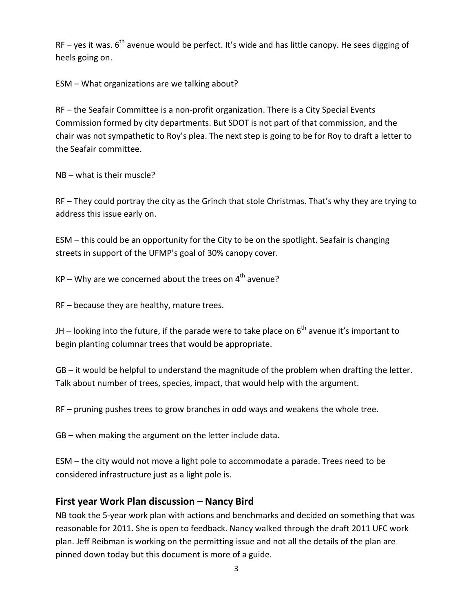$RF -$  yes it was.  $6<sup>th</sup>$  avenue would be perfect. It's wide and has little canopy. He sees digging of heels going on.

ESM – What organizations are we talking about?

RF – the Seafair Committee is a non-profit organization. There is a City Special Events Commission formed by city departments. But SDOT is not part of that commission, and the chair was not sympathetic to Roy's plea. The next step is going to be for Roy to draft a letter to the Seafair committee.

NB – what is their muscle?

RF – They could portray the city as the Grinch that stole Christmas. That's why they are trying to address this issue early on.

ESM – this could be an opportunity for the City to be on the spotlight. Seafair is changing streets in support of the UFMP's goal of 30% canopy cover.

 $KP - Why$  are we concerned about the trees on  $4<sup>th</sup>$  avenue?

RF – because they are healthy, mature trees.

JH – looking into the future, if the parade were to take place on  $6<sup>th</sup>$  avenue it's important to begin planting columnar trees that would be appropriate.

GB – it would be helpful to understand the magnitude of the problem when drafting the letter. Talk about number of trees, species, impact, that would help with the argument.

RF – pruning pushes trees to grow branches in odd ways and weakens the whole tree.

GB – when making the argument on the letter include data.

ESM – the city would not move a light pole to accommodate a parade. Trees need to be considered infrastructure just as a light pole is.

#### **First year Work Plan discussion – Nancy Bird**

NB took the 5-year work plan with actions and benchmarks and decided on something that was reasonable for 2011. She is open to feedback. Nancy walked through the draft 2011 UFC work plan. Jeff Reibman is working on the permitting issue and not all the details of the plan are pinned down today but this document is more of a guide.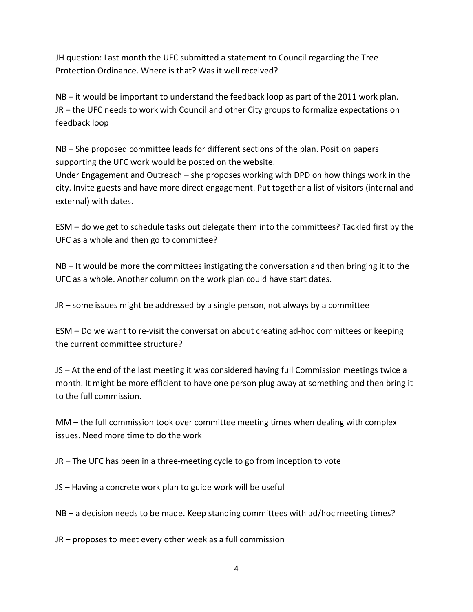JH question: Last month the UFC submitted a statement to Council regarding the Tree Protection Ordinance. Where is that? Was it well received?

NB – it would be important to understand the feedback loop as part of the 2011 work plan. JR – the UFC needs to work with Council and other City groups to formalize expectations on feedback loop

NB – She proposed committee leads for different sections of the plan. Position papers supporting the UFC work would be posted on the website.

Under Engagement and Outreach – she proposes working with DPD on how things work in the city. Invite guests and have more direct engagement. Put together a list of visitors (internal and external) with dates.

ESM – do we get to schedule tasks out delegate them into the committees? Tackled first by the UFC as a whole and then go to committee?

NB – It would be more the committees instigating the conversation and then bringing it to the UFC as a whole. Another column on the work plan could have start dates.

JR – some issues might be addressed by a single person, not always by a committee

ESM – Do we want to re-visit the conversation about creating ad-hoc committees or keeping the current committee structure?

JS – At the end of the last meeting it was considered having full Commission meetings twice a month. It might be more efficient to have one person plug away at something and then bring it to the full commission.

MM – the full commission took over committee meeting times when dealing with complex issues. Need more time to do the work

JR – The UFC has been in a three-meeting cycle to go from inception to vote

JS – Having a concrete work plan to guide work will be useful

NB – a decision needs to be made. Keep standing committees with ad/hoc meeting times?

JR – proposes to meet every other week as a full commission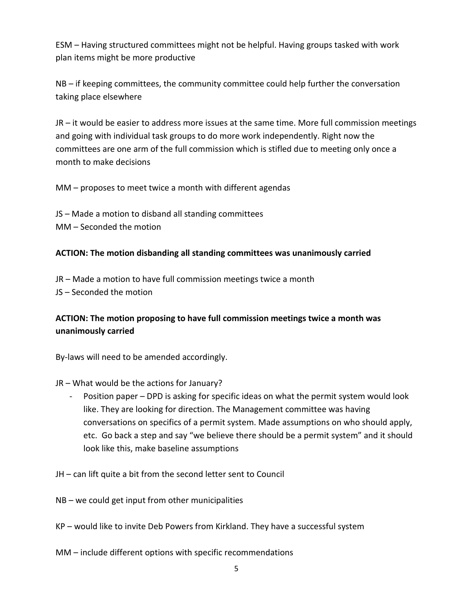ESM – Having structured committees might not be helpful. Having groups tasked with work plan items might be more productive

NB – if keeping committees, the community committee could help further the conversation taking place elsewhere

JR – it would be easier to address more issues at the same time. More full commission meetings and going with individual task groups to do more work independently. Right now the committees are one arm of the full commission which is stifled due to meeting only once a month to make decisions

MM – proposes to meet twice a month with different agendas

JS – Made a motion to disband all standing committees MM – Seconded the motion

#### **ACTION: The motion disbanding all standing committees was unanimously carried**

JR – Made a motion to have full commission meetings twice a month JS – Seconded the motion

#### **ACTION: The motion proposing to have full commission meetings twice a month was unanimously carried**

By-laws will need to be amended accordingly.

JR – What would be the actions for January?

- Position paper – DPD is asking for specific ideas on what the permit system would look like. They are looking for direction. The Management committee was having conversations on specifics of a permit system. Made assumptions on who should apply, etc. Go back a step and say "we believe there should be a permit system" and it should look like this, make baseline assumptions

JH – can lift quite a bit from the second letter sent to Council

NB – we could get input from other municipalities

- KP would like to invite Deb Powers from Kirkland. They have a successful system
- MM include different options with specific recommendations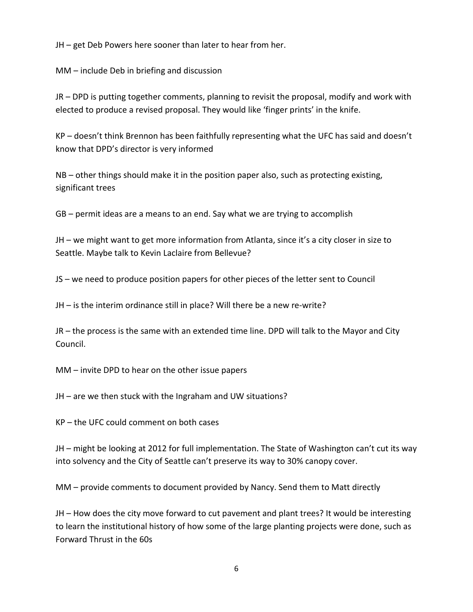JH – get Deb Powers here sooner than later to hear from her.

MM – include Deb in briefing and discussion

JR – DPD is putting together comments, planning to revisit the proposal, modify and work with elected to produce a revised proposal. They would like 'finger prints' in the knife.

KP – doesn't think Brennon has been faithfully representing what the UFC has said and doesn't know that DPD's director is very informed

NB – other things should make it in the position paper also, such as protecting existing, significant trees

GB – permit ideas are a means to an end. Say what we are trying to accomplish

JH – we might want to get more information from Atlanta, since it's a city closer in size to Seattle. Maybe talk to Kevin Laclaire from Bellevue?

JS – we need to produce position papers for other pieces of the letter sent to Council

JH – is the interim ordinance still in place? Will there be a new re-write?

JR – the process is the same with an extended time line. DPD will talk to the Mayor and City Council.

MM – invite DPD to hear on the other issue papers

JH – are we then stuck with the Ingraham and UW situations?

KP – the UFC could comment on both cases

JH – might be looking at 2012 for full implementation. The State of Washington can't cut its way into solvency and the City of Seattle can't preserve its way to 30% canopy cover.

MM – provide comments to document provided by Nancy. Send them to Matt directly

JH – How does the city move forward to cut pavement and plant trees? It would be interesting to learn the institutional history of how some of the large planting projects were done, such as Forward Thrust in the 60s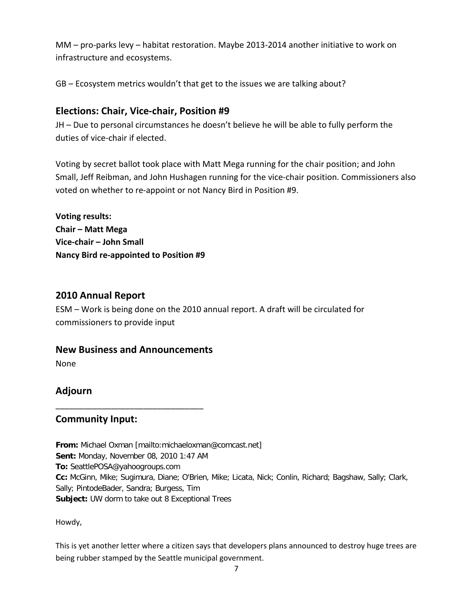MM – pro-parks levy – habitat restoration. Maybe 2013-2014 another initiative to work on infrastructure and ecosystems.

GB – Ecosystem metrics wouldn't that get to the issues we are talking about?

## **Elections: Chair, Vice-chair, Position #9**

JH – Due to personal circumstances he doesn't believe he will be able to fully perform the duties of vice-chair if elected.

Voting by secret ballot took place with Matt Mega running for the chair position; and John Small, Jeff Reibman, and John Hushagen running for the vice-chair position. Commissioners also voted on whether to re-appoint or not Nancy Bird in Position #9.

**Voting results: Chair – Matt Mega Vice-chair – John Small Nancy Bird re-appointed to Position #9**

## **2010 Annual Report**

ESM – Work is being done on the 2010 annual report. A draft will be circulated for commissioners to provide input

## **New Business and Announcements**

\_\_\_\_\_\_\_\_\_\_\_\_\_\_\_\_\_\_\_\_\_\_\_\_\_\_\_\_\_\_\_\_

None

## **Adjourn**

## **Community Input:**

**From:** Michael Oxman [mailto:michaeloxman@comcast.net] **Sent:** Monday, November 08, 2010 1:47 AM **To:** SeattlePOSA@yahoogroups.com **Cc:** McGinn, Mike; Sugimura, Diane; O'Brien, Mike; Licata, Nick; Conlin, Richard; Bagshaw, Sally; Clark, Sally; PintodeBader, Sandra; Burgess, Tim **Subject:** UW dorm to take out 8 Exceptional Trees

Howdy,

This is yet another letter where a citizen says that developers plans announced to destroy huge trees are being rubber stamped by the Seattle municipal government.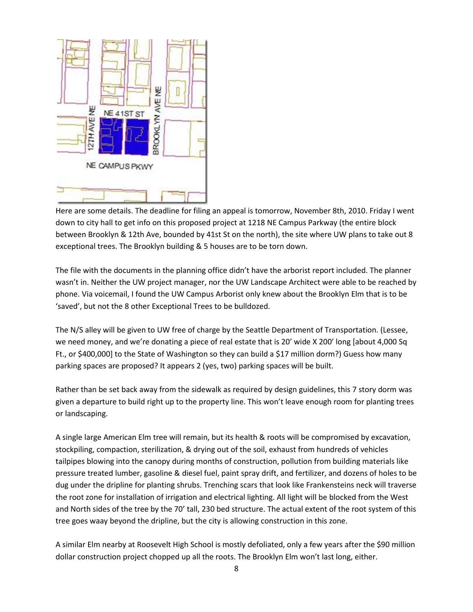

Here are some details. The deadline for filing an appeal is tomorrow, November 8th, 2010. Friday I went down to city hall to get info on this proposed project at 1218 NE Campus Parkway (the entire block between Brooklyn & 12th Ave, bounded by 41st St on the north), the site where UW plans to take out 8 exceptional trees. The Brooklyn building & 5 houses are to be torn down.

The file with the documents in the planning office didn't have the arborist report included. The planner wasn't in. Neither the UW project manager, nor the UW Landscape Architect were able to be reached by phone. Via voicemail, I found the UW Campus Arborist only knew about the Brooklyn Elm that is to be 'saved', but not the 8 other Exceptional Trees to be bulldozed.

The N/S alley will be given to UW free of charge by the Seattle Department of Transportation. (Lessee, we need money, and we're donating a piece of real estate that is 20' wide X 200' long [about 4,000 Sq Ft., or \$400,000] to the State of Washington so they can build a \$17 million dorm?) Guess how many parking spaces are proposed? It appears 2 (yes, two) parking spaces will be built.

Rather than be set back away from the sidewalk as required by design guidelines, this 7 story dorm was given a departure to build right up to the property line. This won't leave enough room for planting trees or landscaping.

A single large American Elm tree will remain, but its health & roots will be compromised by excavation, stockpiling, compaction, sterilization, & drying out of the soil, exhaust from hundreds of vehicles tailpipes blowing into the canopy during months of construction, pollution from building materials like pressure treated lumber, gasoline & diesel fuel, paint spray drift, and fertilizer, and dozens of holes to be dug under the dripline for planting shrubs. Trenching scars that look like Frankensteins neck will traverse the root zone for installation of irrigation and electrical lighting. All light will be blocked from the West and North sides of the tree by the 70' tall, 230 bed structure. The actual extent of the root system of this tree goes waay beyond the dripline, but the city is allowing construction in this zone.

A similar Elm nearby at Roosevelt High School is mostly defoliated, only a few years after the \$90 million dollar construction project chopped up all the roots. The Brooklyn Elm won't last long, either.